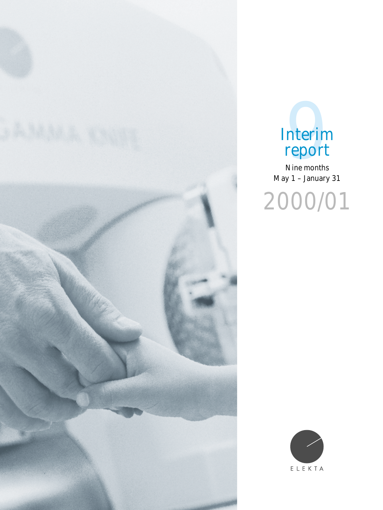



Nine months May 1 – January 31

2000/01

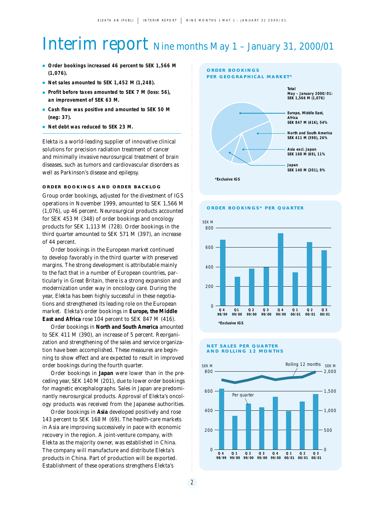# Interim report Nine months May 1 – January 31, 2000/01

- **Order bookings increased 46 percent to SEK 1,566 M (1,076).**
- **Net sales amounted to SEK 1,452 M (1,248).**
- **Profit before taxes amounted to SEK 7 M (loss: 56), an improvement of SEK 63 M.**
- **Cash flow was positive and amounted to SEK 50 M (neg: 37).**
- **Net debt was reduced to SEK 23 M.**

Elekta is a world-leading supplier of innovative clinical solutions for precision radiation treatment of cancer and minimally invasive neurosurgical treatment of brain diseases, such as tumors and cardiovascular disorders as well as Parkinson's disease and epilepsy.

#### **ORDER BOOKINGS AND ORDER BACKLOG**

Group order bookings, adjusted for the divestment of IGS operations in November 1999, amounted to SEK 1,566 M (1,076), up 46 percent. Neurosurgical products accounted for SEK 453 M (348) of order bookings and oncology products for SEK 1,113 M (728). Order bookings in the third quarter amounted to SEK 571 M (397), an increase of 44 percent.

Order bookings in the European market continued to develop favorably in the third quarter with preserved margins. The strong development is attributable mainly to the fact that in a number of European countries, particularly in Great Britain, there is a strong expansion and modernization under way in oncology care. During the year, Elekta has been highly successful in these negotiations and strengthened its leading role on the European market. Elekta's order bookings in *Europe, the Middle East and Africa* rose 104 percent to SEK 847 M (416).

Order bookings in *North and South America* amounted to SEK 411 M (390), an increase of 5 percent. Reorganization and strengthening of the sales and service organization have been accomplished. These measures are beginning to show effect and are expected to result in improved order bookings during the fourth quarter.

Order bookings in *Japan* were lower than in the preceding year, SEK 140 M (201), due to lower order bookings for magnetic encephalographs. Sales in Japan are predominantly neurosurgical products. Approval of Elekta's oncology products was received from the Japanese authorities.

Order bookings in *Asia* developed positively and rose 143 percent to SEK 168 M (69). The health-care markets in Asia are improving successively in pace with economic recovery in the region. A joint-venture company, with Elekta as the majority owner, was established in China. The company will manufacture and distribute Elekta's products in China. Part of production will be exported. Establishment of these operations strengthens Elekta's



**ORDER BOOKINGS\* PER QUARTER**



#### **NET SALES PER QUARTER AND ROLLING 12 MONTHS**

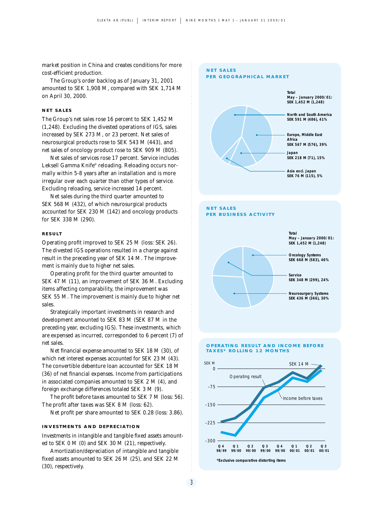market position in China and creates conditions for more cost-efficient production.

The Group's order backlog as of January 31, 2001 amounted to SEK 1,908 M, compared with SEK 1,714 M on April 30, 2000.

#### **NET SALES**

The Group's net sales rose 16 percent to SEK 1,452 M (1,248). Excluding the divested operations of IGS, sales increased by SEK 273 M, or 23 percent. Net sales of neurosurgical products rose to SEK 543 M (443), and net sales of oncology product rose to SEK 909 M (805).

Net sales of services rose 17 percent. Service includes Leksell Gamma Knife® reloading. Reloading occurs normally within 5-8 years after an installation and is more irregular over each quarter than other types of service. Excluding reloading, service increased 14 percent.

Net sales during the third quarter amounted to SEK 568 M (432), of which neurosurgical products accounted for SEK 230 M (142) and oncology products for SEK 338 M (290).

#### **RESULT**

Operating profit improved to SEK 25 M (loss: SEK 26). The divested IGS operations resulted in a charge against result in the preceding year of SEK 14 M. The improvement is mainly due to higher net sales.

Operating profit for the third quarter amounted to SEK 47 M (11), an improvement of SEK 36 M. Excluding items affecting comparability, the improvement was SEK 55 M. The improvement is mainly due to higher net sales.

Strategically important investments in research and development amounted to SEK 83 M (SEK 87 M in the preceding year, excluding IGS). These investments, which are expensed as incurred, corresponded to 6 percent (7) of net sales.

Net financial expense amounted to SEK 18 M (30), of which net interest expenses accounted for SEK 23 M (43). The convertible debenture loan accounted for SEK 18 M (36) of net financial expenses. Income from participations in associated companies amounted to SEK 2 M (4), and foreign exchange differences totaled SEK 3 M (9).

The profit before taxes amounted to SEK 7 M (loss: 56). The profit after taxes was SEK 8 M (loss: 62).

Net profit per share amounted to SEK 0.28 (loss: 3.86).

#### **INVESTMENTS AND DEPRECIATION**

Investments in intangible and tangible fixed assets amounted to SEK 0 M (0) and SEK 30 M (21), respectively.

Amortization/depreciation of intangible and tangible fixed assets amounted to SEK 26 M (25), and SEK 22 M (30), respectively.



**\*Exclusive comparative distorting items**

**Q 2 99/00**

**Q 3 99/00**

**Q 4 99/00 00/01 Q 1** 

**Q 2 00/01**

**Q 3 00/01**

**Q 4 98/99**

**Q 1 99/00**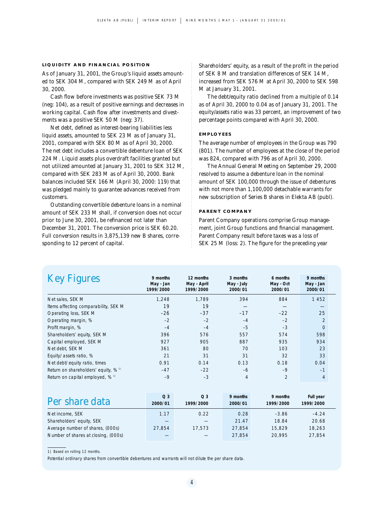#### **LIQUIDITY AND FINANCIAL POSITION**

As of January 31, 2001, the Group's liquid assets amounted to SEK 304 M, compared with SEK 249 M as of April 30, 2000.

Cash flow before investments was positive SEK 73 M (neg: 104), as a result of positive earnings and decreases in working capital. Cash flow after investments and divestments was a positive SEK 50 M (neg: 37).

Net debt, defined as interest-bearing liabilities less liquid assets, amounted to SEK 23 M as of January 31, 2001, compared with SEK 80 M as of April 30, 2000. The net debt includes a convertible debenture loan of SEK 224 M. Liquid assets plus overdraft facilities granted but not utilized amounted at January 31, 2001 to SEK 312 M, compared with SEK 283 M as of April 30, 2000. Bank balances included SEK 166 M (April 30, 2000: 119) that was pledged mainly to guarantee advances received from customers.

Outstanding convertible debenture loans in a nominal amount of SEK 233 M shall, if conversion does not occur prior to June 30, 2001, be refinanced not later than December 31, 2001. The conversion price is SEK 60.20. Full conversion results in 3,875,139 new B shares, corresponding to 12 percent of capital.

Shareholders' equity, as a result of the profit in the period of SEK 8 M and translation differences of SEK 14 M, increased from SEK 576 M at April 30, 2000 to SEK 598 M at January 31, 2001.

The debt/equity ratio declined from a multiple of 0.14 as of April 30, 2000 to 0.04 as of January 31, 2001. The equity/assets ratio was 33 percent, an improvement of two percentage points compared with April 30, 2000.

#### **EMPLOYEES**

The average number of employees in the Group was 790 (801). The number of employees at the close of the period was 824, compared with 796 as of April 30, 2000.

The Annual General Meeting on September 29, 2000 resolved to assume a debenture loan in the nominal amount of SEK 100,000 through the issue of debentures with not more than 1,100,000 detachable warrants for new subscription of Series B shares in Elekta AB (publ).

#### **PARENT COMPANY**

Parent Company operations comprise Group management, joint Group functions and financial management. Parent Company result before taxes was a loss of SEK 25 M (loss: 2). The figure for the preceding year

| <b>Key Figures</b>                   | 9 months<br>May - Jan<br>1999/2000 | 12 months<br>May - April<br>1999/2000 | 3 months<br>May - July<br>2000/01 | 6 months<br>May - Oct<br>2000/01 | 9 months<br>May - Jan<br>2000/01 |
|--------------------------------------|------------------------------------|---------------------------------------|-----------------------------------|----------------------------------|----------------------------------|
| Net sales, SEK M                     | 1,248                              | 1.789                                 | 394                               | 884                              | 1452                             |
| Items affecting comparability, SEK M | 19                                 | 19                                    |                                   |                                  |                                  |
| Operating loss, SEK M                | $-26$                              | $-37$                                 | $-17$                             | $-22$                            | 25                               |
| Operating margin, %                  | $-2$                               | $-2$                                  | $-4$                              | $-2$                             | $\overline{2}$                   |
| Profit margin, %                     | $-4$                               | $-4$                                  | $-5$                              | $-3$                             | $\Omega$                         |
| Shareholders' equity, SEK M          | 396                                | 576                                   | 557                               | 574                              | 598                              |
| Capital employed, SEK M              | 927                                | 905                                   | 887                               | 935                              | 934                              |
| Net debt, SEK M                      | 361                                | 80                                    | 70                                | 103                              | 23                               |
| Equity/assets ratio, %               | 21                                 | 31                                    | 31                                | 32                               | 33                               |
| Net debt/equity ratio, times         | 0.91                               | 0.14                                  | 0.13                              | 0.18                             | 0.04                             |
| Return on shareholders' equity, % 1) | $-47$                              | $-22$                                 | $-6$                              | $-9$                             | $-1$                             |
| Return on capital employed, % 1)     | $-9$                               | $-3$                                  | 4                                 | $\overline{2}$                   | $\overline{4}$                   |

| Per share data                      | Q <sub>3</sub><br>2000/01 | Q <sub>3</sub><br>1999/2000 | 9 months<br>2000/01 | 9 months<br>1999/2000 | Full year<br>1999/2000 |
|-------------------------------------|---------------------------|-----------------------------|---------------------|-----------------------|------------------------|
| Net income, SEK                     | 1.17                      | 0.22                        | 0.28                | $-3.86$               | $-4.24$                |
| Shareholders' equity, SEK           |                           |                             | 21.47               | 18.84                 | 20.68                  |
| Average number of shares, (000s)    | 27.854                    | 17.573                      | 27.854              | 15,829                | 18.263                 |
| Number of shares at closing, (000s) |                           |                             | 27.854              | 20.995                | 27.854                 |

1) Based on rolling 12 months.

Potential ordinary shares from convertible debentures and warrants will not dilute the per share data.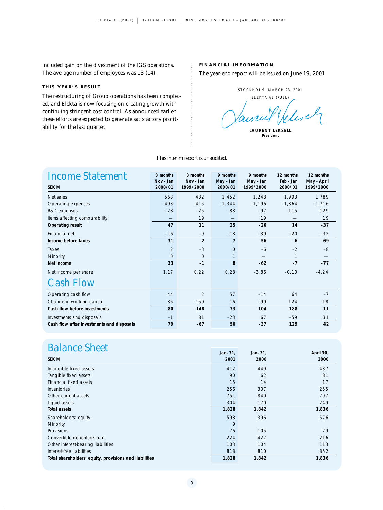included gain on the divestment of the IGS operations. The average number of employees was 13 (14).

#### **THIS YEAR'S RESULT**

The restructuring of Group operations has been completed, and Elekta is now focusing on creating growth with continuing stringent cost control. As announced earlier, these efforts are expected to generate satisfactory profitability for the last quarter.

#### **FINANCIAL INFORMATION**

The year-end report will be issued on June 19, 2001.

STOCKHOLM, MARCH 23, 2001

ELEKTA AB (PUBL) Julie

### *This interim report is unaudited.*

| <b>Income Statement</b><br><b>SEK M</b>   | 3 months<br>Nov - Jan<br>2000/01 | 3 months<br>Nov - Jan<br>1999/2000 | 9 months<br>May - Jan<br>2000/01 | 9 months<br>May - Jan<br>1999/2000 | 12 months<br>Feb - Jan<br>2000/01 | 12 months<br>May - April<br>1999/2000 |
|-------------------------------------------|----------------------------------|------------------------------------|----------------------------------|------------------------------------|-----------------------------------|---------------------------------------|
| Net sales                                 | 568                              | 432                                | 1,452                            | 1,248                              | 1.993                             | 1,789                                 |
| Operating expenses                        | $-493$                           | $-415$                             | $-1,344$                         | $-1,196$                           | $-1,864$                          | $-1,716$                              |
| R&D expenses                              | $-28$                            | $-25$                              | $-83$                            | $-97$                              | $-115$                            | $-129$                                |
| Items affecting comparability             |                                  | 19                                 |                                  | 19                                 |                                   | 19                                    |
| <b>Operating result</b>                   | 47                               | 11                                 | 25                               | $-26$                              | 14                                | $-37$                                 |
| Financial net                             | $-16$                            | $-9$                               | $-18$                            | $-30$                              | $-20$                             | $-32$                                 |
| Income before taxes                       | 31                               | $\overline{2}$                     | $\overline{7}$                   | $-56$                              | $-6$                              | $-69$                                 |
| Taxes                                     | $\overline{2}$                   | $-3$                               | $\mathbf{O}$                     | $-6$                               | $-2$                              | $-8$                                  |
| Minority                                  | $\Omega$                         | $\overline{0}$                     | $\mathbf{1}$                     |                                    | 1                                 |                                       |
| Net income                                | 33                               | $-1$                               | 8                                | $-62$                              | $-7$                              | $-77$                                 |
| Net income per share                      | 1.17                             | 0.22                               | 0.28                             | $-3.86$                            | $-0.10$                           | $-4.24$                               |
| <b>Cash Flow</b>                          |                                  |                                    |                                  |                                    |                                   |                                       |
| Operating cash flow                       | 44                               | $\overline{2}$                     | 57                               | $-14$                              | 64                                | $-7$                                  |
| Change in working capital                 | 36                               | $-150$                             | 16                               | $-90$                              | 124                               | 18                                    |
| Cash flow before investments              | 80                               | $-148$                             | 73                               | $-104$                             | 188                               | 11                                    |
| Investments and disposals                 | $-1$                             | 81                                 | $-23$                            | 67                                 | $-59$                             | 31                                    |
| Cash flow after investments and disposals | 79                               | $-67$                              | 50                               | $-37$                              | 129                               | 42                                    |

## **Balance Sheet Jan. 31, Jan. 31, Jan. 31, Jan. 31, Jan. 31, April 30**

 $\blacksquare$ 

|                                                        | Jall. J I, | Jall. JI, | $A$ pili 30, |
|--------------------------------------------------------|------------|-----------|--------------|
| <b>SEK M</b>                                           | 2001       | 2000      | 2000         |
| Intangible fixed assets                                | 412        | 449       | 437          |
| Tangible fixed assets                                  | 90         | 62        | 81           |
| Financial fixed assets                                 | 15         | 14        | 17           |
| Inventories                                            | 256        | 307       | 255          |
| Other current assets                                   | 751        | 840       | 797          |
| Liquid assets                                          | 304        | 170       | 249          |
| <b>Total assets</b>                                    | 1,828      | 1,842     | 1,836        |
| Shareholders' equity                                   | 598        | 396       | 576          |
| Minority                                               | 9          |           |              |
| Provisions                                             | 76         | 105       | 79           |
| Convertible debenture loan                             | 224        | 427       | 216          |
| Other interest-bearing liabilities                     | 103        | 104       | 113          |
| Interest-free liabilities                              | 818        | 810       | 852          |
| Total shareholders' equity, provisions and liabilities | 1,828      | 1,842     | 1,836        |

**LAURENT LEKSELL President**